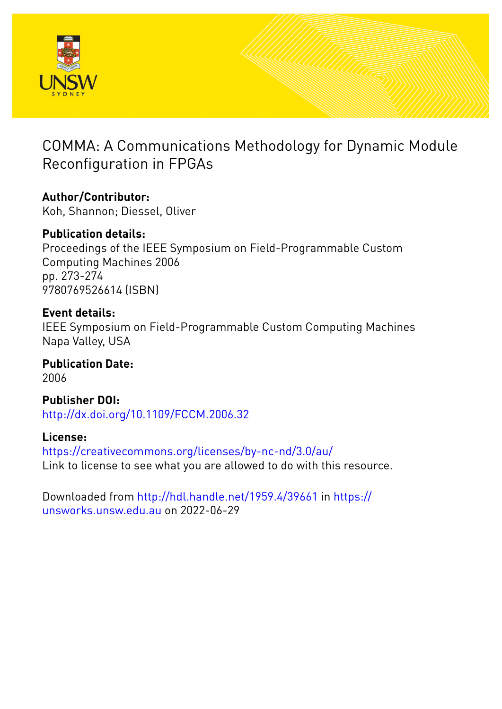

2006

# COMMA: A Communications Methodology for Dynamic Module Reconfiguration in FPGAs

**Author/Contributor:** Koh, Shannon; Diessel, Oliver

**Publication details:** Proceedings of the IEEE Symposium on Field-Programmable Custom Computing Machines 2006 pp. 273-274 9780769526614 (ISBN)

**Event details:** IEEE Symposium on Field-Programmable Custom Computing Machines

Napa Valley, USA **Publication Date:**

**Publisher DOI:** [http://dx.doi.org/10.1109/FCCM.2006.32](http://dx.doi.org/http://dx.doi.org/10.1109/FCCM.2006.32)

**License:** <https://creativecommons.org/licenses/by-nc-nd/3.0/au/> Link to license to see what you are allowed to do with this resource.

Downloaded from <http://hdl.handle.net/1959.4/39661> in [https://](https://unsworks.unsw.edu.au) [unsworks.unsw.edu.au](https://unsworks.unsw.edu.au) on 2022-06-29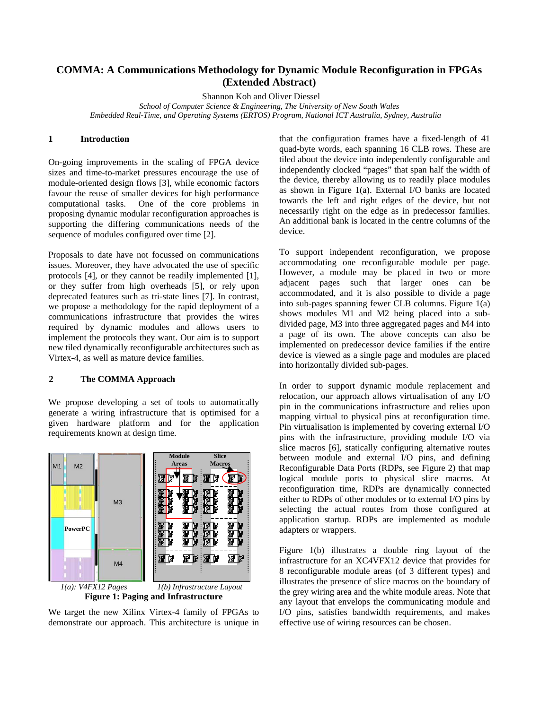## **COMMA: A Communications Methodology for Dynamic Module Reconfiguration in FPGAs (Extended Abstract)**

Shannon Koh and Oliver Diessel

*School of Computer Science & Engineering, The University of New South Wales Embedded Real-Time, and Operating Systems (ERTOS) Program, National ICT Australia, Sydney, Australia* 

### **1 Introduction**

On-going improvements in the scaling of FPGA device sizes and time-to-market pressures encourage the use of module-oriented design flows [\[3\],](#page-2-0) while economic factors favour the reuse of smaller devices for high performance computational tasks. One of the core problems in proposing dynamic modular reconfiguration approaches is supporting the differing communications needs of the sequence of modules configured over time [\[2\].](#page-2-1) 

Proposals to date have not focussed on communications issues. Moreover, they have advocated the use of specific protocols [\[4\],](#page-2-2) or they cannot be readily implemented [\[1\],](#page-2-3) or they suffer from high overheads [\[5\],](#page-2-4) or rely upon deprecated features such as tri-state lines [\[7\].](#page-2-5) In contrast, we propose a methodology for the rapid deployment of a communications infrastructure that provides the wires required by dynamic modules and allows users to implement the protocols they want. Our aim is to support new tiled dynamically reconfigurable architectures such as Virtex-4, as well as mature device families.

#### **2 The COMMA Approach**

We propose developing a set of tools to automatically generate a wiring infrastructure that is optimised for a given hardware platform and for the application requirements known at design time.



We target the new Xilinx Virtex-4 family of FPGAs to demonstrate our approach. This architecture is unique in

that the configuration frames have a fixed-length of 41 quad-byte words, each spanning 16 CLB rows. These are tiled about the device into independently configurable and independently clocked "pages" that span half the width of the device, thereby allowing us to readily place modules as shown in Figure 1(a). External I/O banks are located towards the left and right edges of the device, but not necessarily right on the edge as in predecessor families. An additional bank is located in the centre columns of the device.

To support independent reconfiguration, we propose accommodating one reconfigurable module per page. However, a module may be placed in two or more adjacent pages such that larger ones can be accommodated, and it is also possible to divide a page into sub-pages spanning fewer CLB columns. Figure 1(a) shows modules M1 and M2 being placed into a subdivided page, M3 into three aggregated pages and M4 into a page of its own. The above concepts can also be implemented on predecessor device families if the entire device is viewed as a single page and modules are placed into horizontally divided sub-pages.

In order to support dynamic module replacement and relocation, our approach allows virtualisation of any I/O pin in the communications infrastructure and relies upon mapping virtual to physical pins at reconfiguration time. Pin virtualisation is implemented by covering external I/O pins with the infrastructure, providing module I/O via slice macros [\[6\],](#page-2-6) statically configuring alternative routes between module and external I/O pins, and defining Reconfigurable Data Ports (RDPs, see Figure 2) that map logical module ports to physical slice macros. At reconfiguration time, RDPs are dynamically connected either to RDPs of other modules or to external I/O pins by selecting the actual routes from those configured at application startup. RDPs are implemented as module adapters or wrappers.

Figure 1(b) illustrates a double ring layout of the infrastructure for an XC4VFX12 device that provides for 8 reconfigurable module areas (of 3 different types) and illustrates the presence of slice macros on the boundary of the grey wiring area and the white module areas. Note that any layout that envelops the communicating module and I/O pins, satisfies bandwidth requirements, and makes effective use of wiring resources can be chosen.